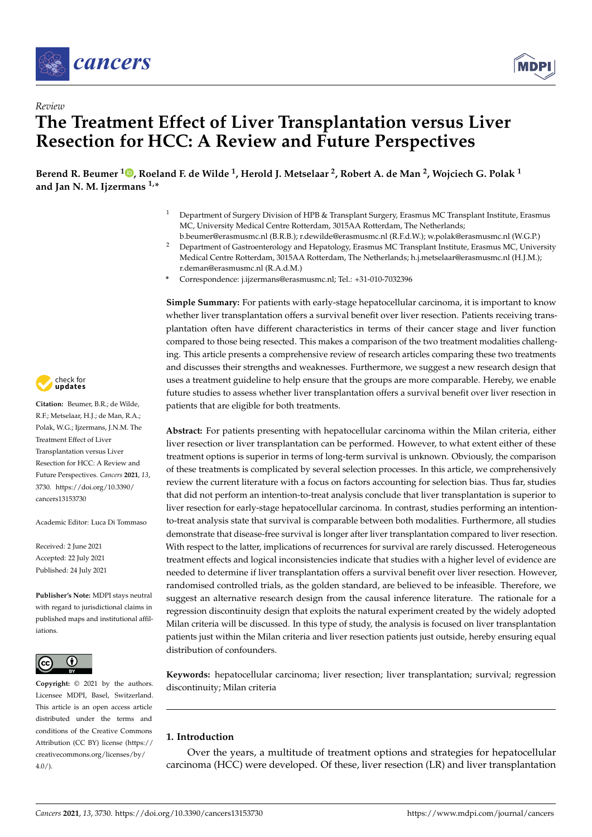



# *Review* **The Treatment Effect of Liver Transplantation versus Liver Resection for HCC: A Review and Future Perspectives**

**Berend R. Beumer <sup>1</sup> [,](https://orcid.org/0000-0001-8307-6999) Roeland F. de Wilde <sup>1</sup> , Herold J. Metselaar <sup>2</sup> , Robert A. de Man <sup>2</sup> , Wojciech G. Polak <sup>1</sup> and Jan N. M. Ijzermans 1,\***

- <sup>1</sup> Department of Surgery Division of HPB & Transplant Surgery, Erasmus MC Transplant Institute, Erasmus MC, University Medical Centre Rotterdam, 3015AA Rotterdam, The Netherlands;
- b.beumer@erasmusmc.nl (B.R.B.); r.dewilde@erasmusmc.nl (R.F.d.W.); w.polak@erasmusmc.nl (W.G.P.) <sup>2</sup> Department of Gastroenterology and Hepatology, Erasmus MC Transplant Institute, Erasmus MC, University Medical Centre Rotterdam, 3015AA Rotterdam, The Netherlands; h.j.metselaar@erasmusmc.nl (H.J.M.); r.deman@erasmusmc.nl (R.A.d.M.)
- **\*** Correspondence: j.ijzermans@erasmusmc.nl; Tel.: +31-010-7032396

**Simple Summary:** For patients with early-stage hepatocellular carcinoma, it is important to know whether liver transplantation offers a survival benefit over liver resection. Patients receiving transplantation often have different characteristics in terms of their cancer stage and liver function compared to those being resected. This makes a comparison of the two treatment modalities challenging. This article presents a comprehensive review of research articles comparing these two treatments and discusses their strengths and weaknesses. Furthermore, we suggest a new research design that uses a treatment guideline to help ensure that the groups are more comparable. Hereby, we enable future studies to assess whether liver transplantation offers a survival benefit over liver resection in patients that are eligible for both treatments.

**Abstract:** For patients presenting with hepatocellular carcinoma within the Milan criteria, either liver resection or liver transplantation can be performed. However, to what extent either of these treatment options is superior in terms of long-term survival is unknown. Obviously, the comparison of these treatments is complicated by several selection processes. In this article, we comprehensively review the current literature with a focus on factors accounting for selection bias. Thus far, studies that did not perform an intention-to-treat analysis conclude that liver transplantation is superior to liver resection for early-stage hepatocellular carcinoma. In contrast, studies performing an intentionto-treat analysis state that survival is comparable between both modalities. Furthermore, all studies demonstrate that disease-free survival is longer after liver transplantation compared to liver resection. With respect to the latter, implications of recurrences for survival are rarely discussed. Heterogeneous treatment effects and logical inconsistencies indicate that studies with a higher level of evidence are needed to determine if liver transplantation offers a survival benefit over liver resection. However, randomised controlled trials, as the golden standard, are believed to be infeasible. Therefore, we suggest an alternative research design from the causal inference literature. The rationale for a regression discontinuity design that exploits the natural experiment created by the widely adopted Milan criteria will be discussed. In this type of study, the analysis is focused on liver transplantation patients just within the Milan criteria and liver resection patients just outside, hereby ensuring equal distribution of confounders.

**Keywords:** hepatocellular carcinoma; liver resection; liver transplantation; survival; regression discontinuity; Milan criteria

## **1. Introduction**

Over the years, a multitude of treatment options and strategies for hepatocellular carcinoma (HCC) were developed. Of these, liver resection (LR) and liver transplantation



**Citation:** Beumer, B.R.; de Wilde, R.F.; Metselaar, H.J.; de Man, R.A.; Polak, W.G.; Ijzermans, J.N.M. The Treatment Effect of Liver Transplantation versus Liver Resection for HCC: A Review and Future Perspectives. *Cancers* **2021**, *13*, 3730. [https://doi.org/10.3390/](https://doi.org/10.3390/cancers13153730) [cancers13153730](https://doi.org/10.3390/cancers13153730)

Academic Editor: Luca Di Tommaso

Received: 2 June 2021 Accepted: 22 July 2021 Published: 24 July 2021

**Publisher's Note:** MDPI stays neutral with regard to jurisdictional claims in published maps and institutional affiliations.



**Copyright:** © 2021 by the authors. Licensee MDPI, Basel, Switzerland. This article is an open access article distributed under the terms and conditions of the Creative Commons Attribution (CC BY) license (https:/[/](https://creativecommons.org/licenses/by/4.0/) [creativecommons.org/licenses/by/](https://creativecommons.org/licenses/by/4.0/)  $4.0/$ ).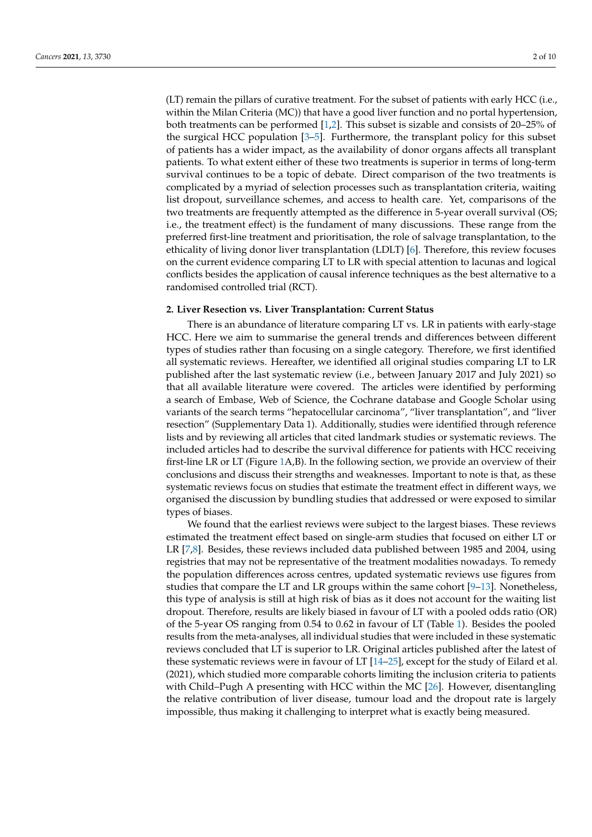(LT) remain the pillars of curative treatment. For the subset of patients with early HCC (i.e., within the Milan Criteria (MC)) that have a good liver function and no portal hypertension, both treatments can be performed [\[1,](#page-7-0)[2\]](#page-7-1). This subset is sizable and consists of 20–25% of the surgical HCC population [\[3](#page-7-2)[–5\]](#page-7-3). Furthermore, the transplant policy for this subset of patients has a wider impact, as the availability of donor organs affects all transplant patients. To what extent either of these two treatments is superior in terms of long-term survival continues to be a topic of debate. Direct comparison of the two treatments is complicated by a myriad of selection processes such as transplantation criteria, waiting list dropout, surveillance schemes, and access to health care. Yet, comparisons of the two treatments are frequently attempted as the difference in 5-year overall survival (OS; i.e., the treatment effect) is the fundament of many discussions. These range from the preferred first-line treatment and prioritisation, the role of salvage transplantation, to the ethicality of living donor liver transplantation (LDLT) [\[6\]](#page-7-4). Therefore, this review focuses on the current evidence comparing LT to LR with special attention to lacunas and logical conflicts besides the application of causal inference techniques as the best alternative to a randomised controlled trial (RCT).

#### **2. Liver Resection vs. Liver Transplantation: Current Status**

There is an abundance of literature comparing LT vs. LR in patients with early-stage HCC. Here we aim to summarise the general trends and differences between different types of studies rather than focusing on a single category. Therefore, we first identified all systematic reviews. Hereafter, we identified all original studies comparing LT to LR published after the last systematic review (i.e., between January 2017 and July 2021) so that all available literature were covered. The articles were identified by performing a search of Embase, Web of Science, the Cochrane database and Google Scholar using variants of the search terms "hepatocellular carcinoma", "liver transplantation", and "liver resection" (Supplementary Data 1). Additionally, studies were identified through reference lists and by reviewing all articles that cited landmark studies or systematic reviews. The included articles had to describe the survival difference for patients with HCC receiving first-line LR or LT (Figure [1A](#page-2-0),B). In the following section, we provide an overview of their conclusions and discuss their strengths and weaknesses. Important to note is that, as these systematic reviews focus on studies that estimate the treatment effect in different ways, we organised the discussion by bundling studies that addressed or were exposed to similar types of biases.

We found that the earliest reviews were subject to the largest biases. These reviews estimated the treatment effect based on single-arm studies that focused on either LT or LR [\[7](#page-7-5)[,8\]](#page-7-6). Besides, these reviews included data published between 1985 and 2004, using registries that may not be representative of the treatment modalities nowadays. To remedy the population differences across centres, updated systematic reviews use figures from studies that compare the LT and LR groups within the same cohort [\[9](#page-7-7)[–13\]](#page-7-8). Nonetheless, this type of analysis is still at high risk of bias as it does not account for the waiting list dropout. Therefore, results are likely biased in favour of LT with a pooled odds ratio (OR) of the 5-year OS ranging from 0.54 to 0.62 in favour of LT (Table [1\)](#page-2-1). Besides the pooled results from the meta-analyses, all individual studies that were included in these systematic reviews concluded that LT is superior to LR. Original articles published after the latest of these systematic reviews were in favour of LT [\[14](#page-8-0)[–25\]](#page-8-1), except for the study of Eilard et al. (2021), which studied more comparable cohorts limiting the inclusion criteria to patients with Child–Pugh A presenting with HCC within the MC [\[26\]](#page-8-2). However, disentangling the relative contribution of liver disease, tumour load and the dropout rate is largely impossible, thus making it challenging to interpret what is exactly being measured.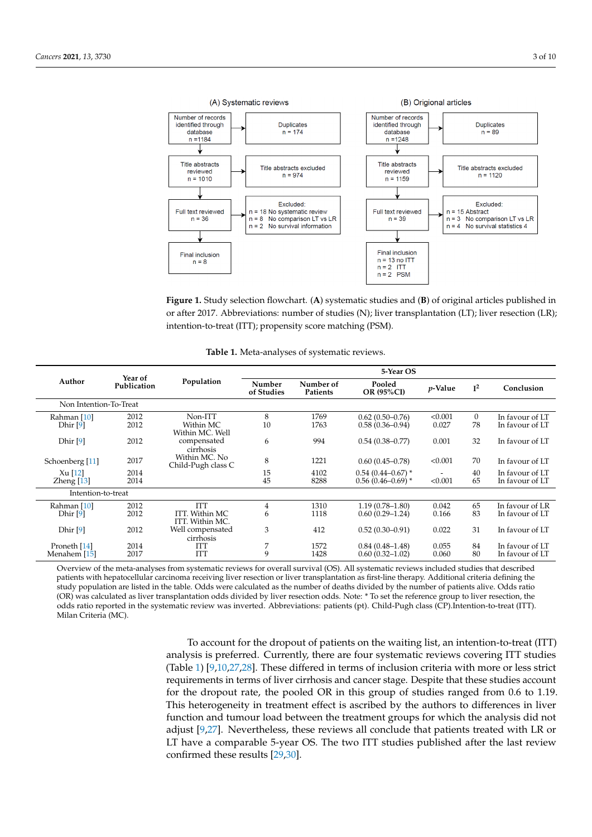<span id="page-2-0"></span>

**Figure 1.** Study selection flowchart. (**A**) systematic studies and (**B**) of original articles or after 2017. Abbreviations: number of studies (N); liver transplantation (LT); liver resection (LR);<br>interties to tract (TT), accessority comparately of CRA) intention-to-treat (ITT); propensity score matching (PSM). **Figure 1.** Study selection flowchart. (**A**) systematic studies and (**B**) of original articles published in

| Table 1. Meta-analyses of systematic reviews. |  |
|-----------------------------------------------|--|
|-----------------------------------------------|--|

<span id="page-2-1"></span>

| Author                             | Year of<br>Publication | Population                                       | 5-Year OS            |                       |                                              |                                     |                    |                                    |
|------------------------------------|------------------------|--------------------------------------------------|----------------------|-----------------------|----------------------------------------------|-------------------------------------|--------------------|------------------------------------|
|                                    |                        |                                                  | Number<br>of Studies | Number of<br>Patients | Pooled<br>OR (95%CI)                         | $p$ -Value                          | $I^2$              | Conclusion                         |
| Non Intention-To-Treat             |                        |                                                  |                      |                       |                                              |                                     |                    |                                    |
| Rahman [10]<br>Dhir [9]            | 2012<br>2012           | Non-ITT<br>Within MC<br>Within MC. Well          | 8<br>10              | 1769<br>1763          | $0.62(0.50-0.76)$<br>$0.58(0.36 - 0.94)$     | < 0.001<br>0.027                    | $\mathbf{0}$<br>78 | In favour of LT<br>In favour of LT |
| Dhir <sup>[9]</sup>                | 2012                   | compensated<br>cirrhosis                         | 6                    | 994                   | $0.54(0.38 - 0.77)$                          | 0.001                               | 32                 | In favour of LT                    |
| Schoenberg [11]                    | 2017                   | Within MC. No<br>Child-Pugh class C              | 8                    | 1221                  | $0.60(0.45 - 0.78)$                          | < 0.001                             | 70                 | In favour of LT                    |
| $Xu$ [12]<br>Zheng $[13]$          | 2014<br>2014           |                                                  | 15<br>45             | 4102<br>8288          | $0.54(0.44 - 0.67)$ *<br>$0.56(0.46-0.69)$ * | $\overline{\phantom{0}}$<br>< 0.001 | 40<br>65           | In favour of LT<br>In favour of LT |
| Intention-to-treat                 |                        |                                                  |                      |                       |                                              |                                     |                    |                                    |
| Rahman [10]<br>Dhir <sup>[9]</sup> | 2012<br>2012           | <b>ITT</b><br>ITT. Within MC.<br>ITT. Within MC. | 4<br>6               | 1310<br>1118          | $1.19(0.78 - 1.80)$<br>$0.60(0.29 - 1.24)$   | 0.042<br>0.166                      | 65<br>83           | In favour of LR<br>In favour of LT |
| Dhir <sup>[9]</sup>                | 2012                   | Well compensated<br>cirrhosis                    | 3                    | 412                   | $0.52(0.30-0.91)$                            | 0.022                               | 31                 | In favour of LT                    |
| Proneth [14]<br>Menahem [15]       | 2014<br>2017           | <b>ITT</b><br><b>ITT</b>                         | 7<br>9               | 1572<br>1428          | $0.84(0.48 - 1.48)$<br>$0.60(0.32 - 1.02)$   | 0.055<br>0.060                      | 84<br>80           | In favour of LT<br>In favour of LT |

patients wan reparcematal calculoma receiving aver resection of twee transparation as mot the tactapy. Fractional enterta demang the<br>study population are listed in the table. Odds were calculated as the number of deaths di Overview of the meta-analyses from systematic reviews for overall survival (OS). All systematic reviews included studies that described (OR) was calculated as liver transplantation odds divided by liver resection odds. Note: \* To set the reference group to liver resection, the odds ratio reported in the systematic review was inverted. Abbreviations: patients (pt). Child-Pugh class (CP).Intention-to-treat (ITT).  $M<sub>1</sub>$  2017  $M<sub>2</sub>$  2017  $M<sub>1</sub>$  2017  $M<sub>2</sub>$ patients with hepatocellular carcinoma receiving liver resection or liver transplantation as first-line therapy. Additional criteria defining the Milan Criteria (MC).

To account for the dropout of patients on the waiting list, an intention-to-treat (ITT) analysis is preferred. Currently, there are four systematic reviews covering ITT studies (Table [1\)](#page-2-1) [9,10,27,28]. These differed in terms of inclusion criteria with more or less strict requirements in terms of liver cirrhosis and cancer stage. Despite that these studies account for the dropout rate, the pooled OR in this group of studies ranged from 0.6 to 1.19. function and tumour load between the treatment groups for which the analysis did not adjust [\[9,](#page-7-7)[27\]](#page-8-4). Nevertheless, these reviews all conclude that patients treated with LR or LT have a comparable 5-year OS. The two ITT studies published after the last review  $\text{confirmed these results}$  [\[29,](#page-8-6)[30\]](#page-8-7). This heterogeneity in treatment effect is ascribed by the authors to differences in liver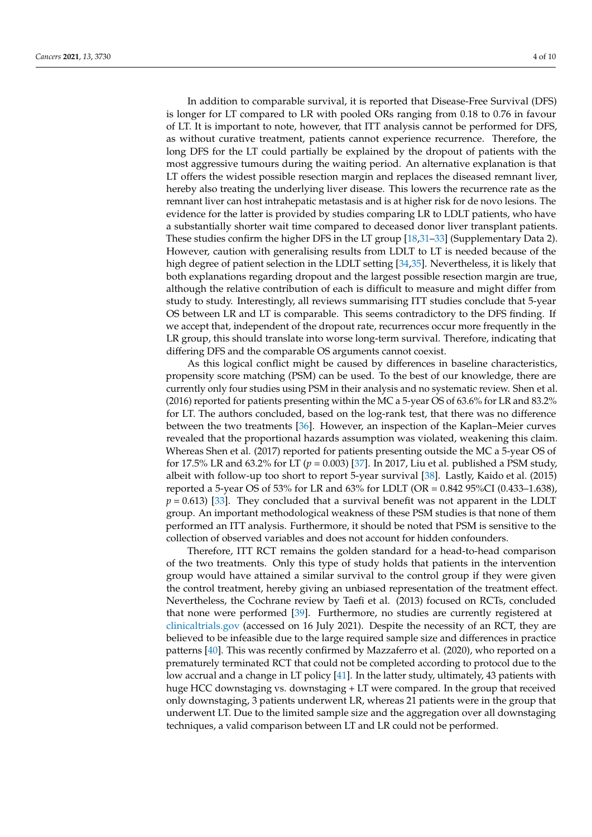In addition to comparable survival, it is reported that Disease-Free Survival (DFS) is longer for LT compared to LR with pooled ORs ranging from 0.18 to 0.76 in favour of LT. It is important to note, however, that ITT analysis cannot be performed for DFS, as without curative treatment, patients cannot experience recurrence. Therefore, the long DFS for the LT could partially be explained by the dropout of patients with the most aggressive tumours during the waiting period. An alternative explanation is that LT offers the widest possible resection margin and replaces the diseased remnant liver, hereby also treating the underlying liver disease. This lowers the recurrence rate as the remnant liver can host intrahepatic metastasis and is at higher risk for de novo lesions. The evidence for the latter is provided by studies comparing LR to LDLT patients, who have a substantially shorter wait time compared to deceased donor liver transplant patients. These studies confirm the higher DFS in the LT group [\[18,](#page-8-8)[31](#page-8-9)[–33\]](#page-8-10) (Supplementary Data 2). However, caution with generalising results from LDLT to LT is needed because of the high degree of patient selection in the LDLT setting [\[34](#page-8-11)[,35\]](#page-8-12). Nevertheless, it is likely that both explanations regarding dropout and the largest possible resection margin are true, although the relative contribution of each is difficult to measure and might differ from study to study. Interestingly, all reviews summarising ITT studies conclude that 5-year OS between LR and LT is comparable. This seems contradictory to the DFS finding. If we accept that, independent of the dropout rate, recurrences occur more frequently in the LR group, this should translate into worse long-term survival. Therefore, indicating that differing DFS and the comparable OS arguments cannot coexist.

As this logical conflict might be caused by differences in baseline characteristics, propensity score matching (PSM) can be used. To the best of our knowledge, there are currently only four studies using PSM in their analysis and no systematic review. Shen et al. (2016) reported for patients presenting within the MC a 5-year OS of 63.6% for LR and 83.2% for LT. The authors concluded, based on the log-rank test, that there was no difference between the two treatments [\[36\]](#page-9-0). However, an inspection of the Kaplan–Meier curves revealed that the proportional hazards assumption was violated, weakening this claim. Whereas Shen et al. (2017) reported for patients presenting outside the MC a 5-year OS of for 17.5% LR and 63.2% for LT (*p* = 0.003) [\[37\]](#page-9-1). In 2017, Liu et al. published a PSM study, albeit with follow-up too short to report 5-year survival [\[38\]](#page-9-2). Lastly, Kaido et al. (2015) reported a 5-year OS of 53% for LR and 63% for LDLT (OR = 0.842 95%CI (0.433–1.638), *p* = 0.613) [\[33\]](#page-8-10). They concluded that a survival benefit was not apparent in the LDLT group. An important methodological weakness of these PSM studies is that none of them performed an ITT analysis. Furthermore, it should be noted that PSM is sensitive to the collection of observed variables and does not account for hidden confounders.

Therefore, ITT RCT remains the golden standard for a head-to-head comparison of the two treatments. Only this type of study holds that patients in the intervention group would have attained a similar survival to the control group if they were given the control treatment, hereby giving an unbiased representation of the treatment effect. Nevertheless, the Cochrane review by Taefi et al. (2013) focused on RCTs, concluded that none were performed [\[39\]](#page-9-3). Furthermore, no studies are currently registered at <clinicaltrials.gov> (accessed on 16 July 2021). Despite the necessity of an RCT, they are believed to be infeasible due to the large required sample size and differences in practice patterns [\[40\]](#page-9-4). This was recently confirmed by Mazzaferro et al. (2020), who reported on a prematurely terminated RCT that could not be completed according to protocol due to the low accrual and a change in LT policy [\[41\]](#page-9-5). In the latter study, ultimately, 43 patients with huge HCC downstaging vs. downstaging + LT were compared. In the group that received only downstaging, 3 patients underwent LR, whereas 21 patients were in the group that underwent LT. Due to the limited sample size and the aggregation over all downstaging techniques, a valid comparison between LT and LR could not be performed.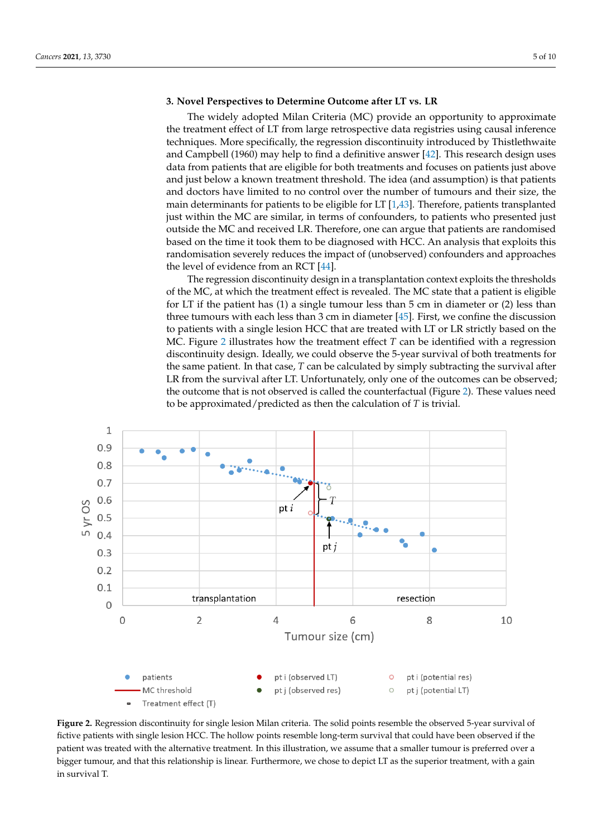### **3. Novel Perspectives to Determine Outcome after LT vs. LR**

The widely adopted Milan Criteria (MC) provide an opportunity to approximate the treatment effect of LT from large retrospective data registries using causal inference techniques. More specifically, the regression discontinuity introduced by Thistlethwaite and Campbell (1960) may help to find a definitive answer [\[42\]](#page-9-6). This research design uses data from patients that are eligible for both treatments and focuses on patients just above and just below a known treatment threshold. The idea (and assumption) is that patients and doctors have limited to no control over the number of tumours and their size, the main determinants for patients to be eligible for LT [\[1](#page-7-0)[,43\]](#page-9-7). Therefore, patients transplanted just within the MC are similar, in terms of confounders, to patients who presented just outside the MC and received LR. Therefore, one can argue that patients are randomised based on the time it took them to be diagnosed with HCC. An analysis that exploits this randomisation severely reduces the impact of (unobserved) confounders and approaches the level of evidence from an RCT [\[44\]](#page-9-8).

The regression discontinuity design in a transplantation context exploits the thresholds of the MC, at which the treatment effect is revealed. The MC state that a patient is eligible for LT if the patient has  $(1)$  a single tumour less than  $5 \text{ cm}$  in diameter or  $(2)$  less than three tumours with each less than 3 cm in diameter [\[45\]](#page-9-9). First, we confine the discussion to patients with a single lesion HCC that are treated with LT or LR strictly based on the MC. Figure [2](#page-4-0) illustrates how the treatment effect  $T$  can be identified with a regression discontinuity design. Ideally, we could observe the 5-year survival of both treatments for the same patient. In that case, *T* can be calculated by simply subtracting the survival after LR from the survival after LT. Unfortunately, only one of the outcomes can be observed; the outcome that is not observed is called the counterfactual (Figure [2\)](#page-4-0). These values need to be approximated/predicted as then the calculation of *T* is trivial.

<span id="page-4-0"></span>

Figure 2. Regression discontinuity for single lesion Milan criteria. The solid points resemble the observed 5-year survival of fictive patients with single lesion HCC. The hollow points resemble long-term survival that could have been observed if the patient was treated with the alternative treatment. In this illustration, we assume that a smaller tumour is preferred over a over a bigger turn of the this relationship is linear. Furthermore, we chose the superior treatment of processes the superior treatment, and the superior treatment, and the superior treatment, and the superior treatment, a bigger tumour, and that this relationship is linear. Furthermore, we chose to depict LT as the superior treatment, with a gain in survival T.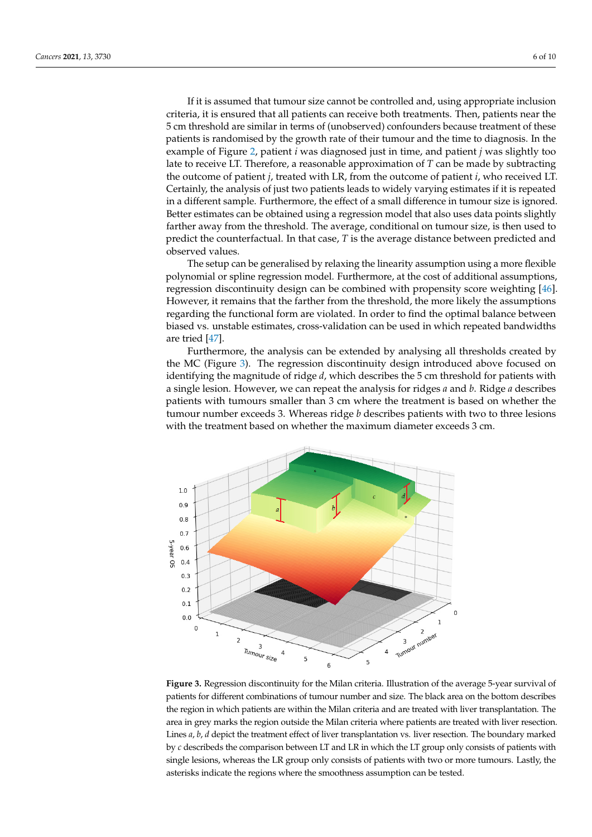If it is assumed that tumour size cannot be controlled and, using appropriate inclusion criteria, it is ensured that all patients can receive both treatments. Then, patients near the 5 cm threshold are similar in terms of (unobserved) confounders because treatment of these patients is randomised by the growth rate of their tumour and the time to diagnosis. In the example of Figure [2,](#page-4-0) patient *i* was diagnosed just in time, and patient *j* was slightly too late to receive LT. Therefore, a reasonable approximation of *T* can be made by subtracting the outcome of patient *j*, treated with LR, from the outcome of patient *i*, who received LT. Certainly, the analysis of just two patients leads to widely varying estimates if it is repeated in a different sample. Furthermore, the effect of a small difference in tumour size is ignored. Better estimates can be obtained using a regression model that also uses data points slightly farther away from the threshold. The average, conditional on tumour size, is then used to predict the counterfactual. In that case, *T* is the average distance between predicted and

The setup can be generalised by relaxing the linearity assumption using a more flexible polynomial or spline regression model. Furthermore, at the cost of additional assumptions, regression discontinuity design can be combined with propensity score weighting [\[46\]](#page-9-10). However, it remains that the farther from the threshold, the more likely the assumptions regarding the functional form are violated. In order to find the optimal balance between biased vs. unstable estimates, cross-validation can be used in which repeated bandwidths are tried [\[47\]](#page-9-11).

observed values.

Furthermore, the analysis can be extended by analysing all thresholds created by the MC (Figure [3\)](#page-5-0). The regression discontinuity design introduced above focused on identifying the magnitude of ridge *d*, which describes the 5 cm threshold for patients with a single lesion. However, we can repeat the analysis for ridges *a* and *b*. Ridge *a* describes patients with tumours smaller than 3 cm where the treatment is based on whether the <sup>1</sup> tumour number exceeds 3. Whereas ridge *b* describes patients with two to three lesions with the treatment based on whether the maximum diameter exceeds 3 cm.

<span id="page-5-0"></span>

**Figure 3.** Regression discontinuity for the Milan criteria. Illustration of the average 5-year survival **Figure 3.** Regression discontinuity for the Milan criteria. Illustration of the average 5-year survival of patients for different combinations of tumour number and size. The black area on the bottom describes describes the region in which patients are within the Milan criteria and are treated with liver transthe region in which patients are within the Milan criteria and are treated with liver transplantation. The area in grey marks the region outside the Milan criteria where patients are treated with liver resection. Lines *a*, *b*, *d* depict the treatment effect of liver transplantation vs. liver resection. The boundary marked by *c* describeds the comparison between LT and LR in which the LT group only consists of patients with two or more tumours. Lastly, the asterior where the smoothness indicate the regions where the smoothness assumption of  $\frac{1}{2}$ single lesions, whereas the LR group only consists of patients with two or more tumours. Lastly, the asterisks indicate the regions where the smoothness assumption can be tested.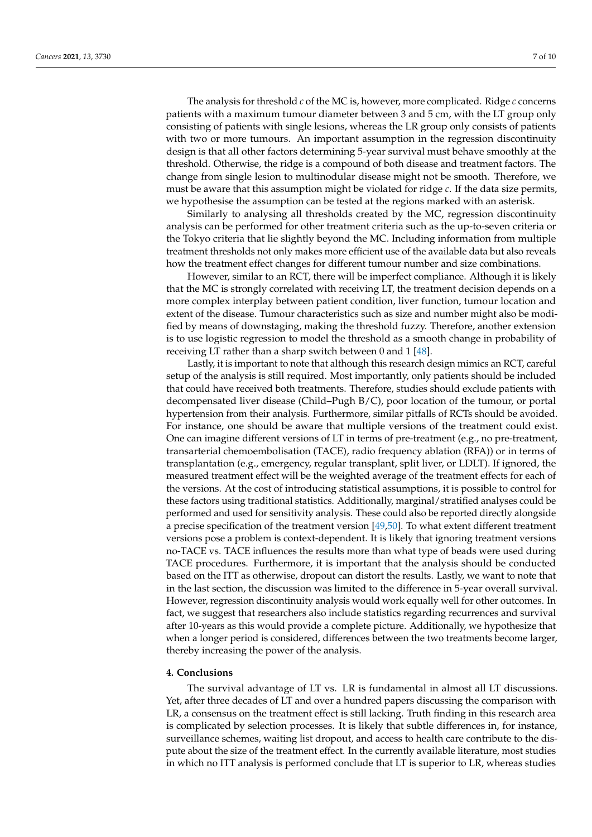The analysis for threshold *c* of the MC is, however, more complicated. Ridge *c* concerns patients with a maximum tumour diameter between 3 and 5 cm, with the LT group only consisting of patients with single lesions, whereas the LR group only consists of patients with two or more tumours. An important assumption in the regression discontinuity design is that all other factors determining 5-year survival must behave smoothly at the threshold. Otherwise, the ridge is a compound of both disease and treatment factors. The change from single lesion to multinodular disease might not be smooth. Therefore, we must be aware that this assumption might be violated for ridge *c*. If the data size permits, we hypothesise the assumption can be tested at the regions marked with an asterisk.

Similarly to analysing all thresholds created by the MC, regression discontinuity analysis can be performed for other treatment criteria such as the up-to-seven criteria or the Tokyo criteria that lie slightly beyond the MC. Including information from multiple treatment thresholds not only makes more efficient use of the available data but also reveals how the treatment effect changes for different tumour number and size combinations.

However, similar to an RCT, there will be imperfect compliance. Although it is likely that the MC is strongly correlated with receiving LT, the treatment decision depends on a more complex interplay between patient condition, liver function, tumour location and extent of the disease. Tumour characteristics such as size and number might also be modified by means of downstaging, making the threshold fuzzy. Therefore, another extension is to use logistic regression to model the threshold as a smooth change in probability of receiving LT rather than a sharp switch between 0 and 1 [\[48\]](#page-9-12).

Lastly, it is important to note that although this research design mimics an RCT, careful setup of the analysis is still required. Most importantly, only patients should be included that could have received both treatments. Therefore, studies should exclude patients with decompensated liver disease (Child–Pugh B/C), poor location of the tumour, or portal hypertension from their analysis. Furthermore, similar pitfalls of RCTs should be avoided. For instance, one should be aware that multiple versions of the treatment could exist. One can imagine different versions of LT in terms of pre-treatment (e.g., no pre-treatment, transarterial chemoembolisation (TACE), radio frequency ablation (RFA)) or in terms of transplantation (e.g., emergency, regular transplant, split liver, or LDLT). If ignored, the measured treatment effect will be the weighted average of the treatment effects for each of the versions. At the cost of introducing statistical assumptions, it is possible to control for these factors using traditional statistics. Additionally, marginal/stratified analyses could be performed and used for sensitivity analysis. These could also be reported directly alongside a precise specification of the treatment version [\[49,](#page-9-13)[50\]](#page-9-14). To what extent different treatment versions pose a problem is context-dependent. It is likely that ignoring treatment versions no-TACE vs. TACE influences the results more than what type of beads were used during TACE procedures. Furthermore, it is important that the analysis should be conducted based on the ITT as otherwise, dropout can distort the results. Lastly, we want to note that in the last section, the discussion was limited to the difference in 5-year overall survival. However, regression discontinuity analysis would work equally well for other outcomes. In fact, we suggest that researchers also include statistics regarding recurrences and survival after 10-years as this would provide a complete picture. Additionally, we hypothesize that when a longer period is considered, differences between the two treatments become larger, thereby increasing the power of the analysis.

#### **4. Conclusions**

The survival advantage of LT vs. LR is fundamental in almost all LT discussions. Yet, after three decades of LT and over a hundred papers discussing the comparison with LR, a consensus on the treatment effect is still lacking. Truth finding in this research area is complicated by selection processes. It is likely that subtle differences in, for instance, surveillance schemes, waiting list dropout, and access to health care contribute to the dispute about the size of the treatment effect. In the currently available literature, most studies in which no ITT analysis is performed conclude that LT is superior to LR, whereas studies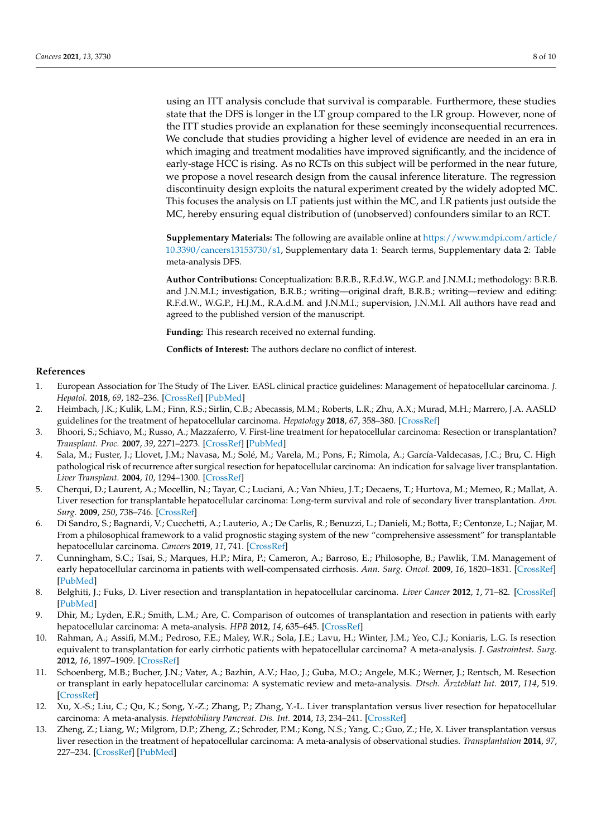using an ITT analysis conclude that survival is comparable. Furthermore, these studies state that the DFS is longer in the LT group compared to the LR group. However, none of the ITT studies provide an explanation for these seemingly inconsequential recurrences. We conclude that studies providing a higher level of evidence are needed in an era in which imaging and treatment modalities have improved significantly, and the incidence of early-stage HCC is rising. As no RCTs on this subject will be performed in the near future, we propose a novel research design from the causal inference literature. The regression discontinuity design exploits the natural experiment created by the widely adopted MC. This focuses the analysis on LT patients just within the MC, and LR patients just outside the MC, hereby ensuring equal distribution of (unobserved) confounders similar to an RCT.

**Supplementary Materials:** The following are available online at [https://www.mdpi.com/article/](https://www.mdpi.com/article/10.3390/cancers13153730/s1) [10.3390/cancers13153730/s1,](https://www.mdpi.com/article/10.3390/cancers13153730/s1) Supplementary data 1: Search terms, Supplementary data 2: Table meta-analysis DFS.

**Author Contributions:** Conceptualization: B.R.B., R.F.d.W., W.G.P. and J.N.M.I.; methodology: B.R.B. and J.N.M.I.; investigation, B.R.B.; writing—original draft, B.R.B.; writing—review and editing: R.F.d.W., W.G.P., H.J.M., R.A.d.M. and J.N.M.I.; supervision, J.N.M.I. All authors have read and agreed to the published version of the manuscript.

**Funding:** This research received no external funding.

**Conflicts of Interest:** The authors declare no conflict of interest.

#### **References**

- <span id="page-7-0"></span>1. European Association for The Study of The Liver. EASL clinical practice guidelines: Management of hepatocellular carcinoma. *J. Hepatol.* **2018**, *69*, 182–236. [\[CrossRef\]](http://doi.org/10.1016/j.jhep.2018.03.019) [\[PubMed\]](http://www.ncbi.nlm.nih.gov/pubmed/29628281)
- <span id="page-7-1"></span>2. Heimbach, J.K.; Kulik, L.M.; Finn, R.S.; Sirlin, C.B.; Abecassis, M.M.; Roberts, L.R.; Zhu, A.X.; Murad, M.H.; Marrero, J.A. AASLD guidelines for the treatment of hepatocellular carcinoma. *Hepatology* **2018**, *67*, 358–380. [\[CrossRef\]](http://doi.org/10.1002/hep.29086)
- <span id="page-7-2"></span>3. Bhoori, S.; Schiavo, M.; Russo, A.; Mazzaferro, V. First-line treatment for hepatocellular carcinoma: Resection or transplantation? *Transplant. Proc.* **2007**, *39*, 2271–2273. [\[CrossRef\]](http://doi.org/10.1016/j.transproceed.2007.06.015) [\[PubMed\]](http://www.ncbi.nlm.nih.gov/pubmed/17889160)
- 4. Sala, M.; Fuster, J.; Llovet, J.M.; Navasa, M.; Solé, M.; Varela, M.; Pons, F.; Rimola, A.; García-Valdecasas, J.C.; Bru, C. High pathological risk of recurrence after surgical resection for hepatocellular carcinoma: An indication for salvage liver transplantation. *Liver Transplant.* **2004**, *10*, 1294–1300. [\[CrossRef\]](http://doi.org/10.1002/lt.20202)
- <span id="page-7-3"></span>5. Cherqui, D.; Laurent, A.; Mocellin, N.; Tayar, C.; Luciani, A.; Van Nhieu, J.T.; Decaens, T.; Hurtova, M.; Memeo, R.; Mallat, A. Liver resection for transplantable hepatocellular carcinoma: Long-term survival and role of secondary liver transplantation. *Ann. Surg.* **2009**, *250*, 738–746. [\[CrossRef\]](http://doi.org/10.1097/SLA.0b013e3181bd582b)
- <span id="page-7-4"></span>6. Di Sandro, S.; Bagnardi, V.; Cucchetti, A.; Lauterio, A.; De Carlis, R.; Benuzzi, L.; Danieli, M.; Botta, F.; Centonze, L.; Najjar, M. From a philosophical framework to a valid prognostic staging system of the new "comprehensive assessment" for transplantable hepatocellular carcinoma. *Cancers* **2019**, *11*, 741. [\[CrossRef\]](http://doi.org/10.3390/cancers11060741)
- <span id="page-7-5"></span>7. Cunningham, S.C.; Tsai, S.; Marques, H.P.; Mira, P.; Cameron, A.; Barroso, E.; Philosophe, B.; Pawlik, T.M. Management of early hepatocellular carcinoma in patients with well-compensated cirrhosis. *Ann. Surg. Oncol.* **2009**, *16*, 1820–1831. [\[CrossRef\]](http://doi.org/10.1245/s10434-009-0364-1) [\[PubMed\]](http://www.ncbi.nlm.nih.gov/pubmed/19267161)
- <span id="page-7-6"></span>8. Belghiti, J.; Fuks, D. Liver resection and transplantation in hepatocellular carcinoma. *Liver Cancer* **2012**, *1*, 71–82. [\[CrossRef\]](http://doi.org/10.1159/000342403) [\[PubMed\]](http://www.ncbi.nlm.nih.gov/pubmed/24159575)
- <span id="page-7-7"></span>9. Dhir, M.; Lyden, E.R.; Smith, L.M.; Are, C. Comparison of outcomes of transplantation and resection in patients with early hepatocellular carcinoma: A meta-analysis. *HPB* **2012**, *14*, 635–645. [\[CrossRef\]](http://doi.org/10.1111/j.1477-2574.2012.00500.x)
- <span id="page-7-9"></span>10. Rahman, A.; Assifi, M.M.; Pedroso, F.E.; Maley, W.R.; Sola, J.E.; Lavu, H.; Winter, J.M.; Yeo, C.J.; Koniaris, L.G. Is resection equivalent to transplantation for early cirrhotic patients with hepatocellular carcinoma? A meta-analysis. *J. Gastrointest. Surg.* **2012**, *16*, 1897–1909. [\[CrossRef\]](http://doi.org/10.1007/s11605-012-1973-8)
- <span id="page-7-10"></span>11. Schoenberg, M.B.; Bucher, J.N.; Vater, A.; Bazhin, A.V.; Hao, J.; Guba, M.O.; Angele, M.K.; Werner, J.; Rentsch, M. Resection or transplant in early hepatocellular carcinoma: A systematic review and meta-analysis. *Dtsch. Ärzteblatt Int.* **2017**, *114*, 519. [\[CrossRef\]](http://doi.org/10.3238/arztebl.2017.0519)
- <span id="page-7-11"></span>12. Xu, X.-S.; Liu, C.; Qu, K.; Song, Y.-Z.; Zhang, P.; Zhang, Y.-L. Liver transplantation versus liver resection for hepatocellular carcinoma: A meta-analysis. *Hepatobiliary Pancreat. Dis. Int.* **2014**, *13*, 234–241. [\[CrossRef\]](http://doi.org/10.1016/S1499-3872(14)60037-0)
- <span id="page-7-8"></span>13. Zheng, Z.; Liang, W.; Milgrom, D.P.; Zheng, Z.; Schroder, P.M.; Kong, N.S.; Yang, C.; Guo, Z.; He, X. Liver transplantation versus liver resection in the treatment of hepatocellular carcinoma: A meta-analysis of observational studies. *Transplantation* **2014**, *97*, 227–234. [\[CrossRef\]](http://doi.org/10.1097/TP.0b013e3182a89383) [\[PubMed\]](http://www.ncbi.nlm.nih.gov/pubmed/24142034)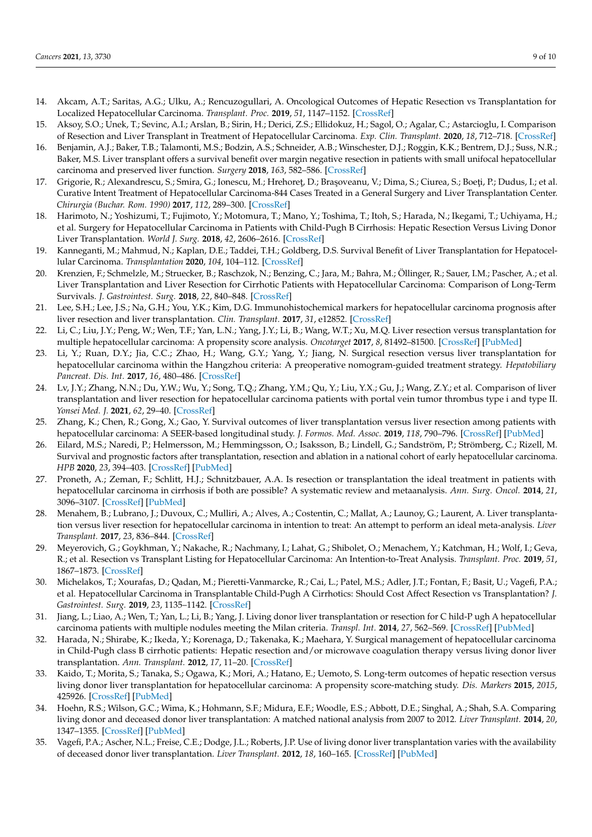- <span id="page-8-0"></span>14. Akcam, A.T.; Saritas, A.G.; Ulku, A.; Rencuzogullari, A. Oncological Outcomes of Hepatic Resection vs Transplantation for Localized Hepatocellular Carcinoma. *Transplant. Proc.* **2019**, *51*, 1147–1152. [\[CrossRef\]](http://doi.org/10.1016/j.transproceed.2019.01.093)
- <span id="page-8-3"></span>15. Aksoy, S.O.; Unek, T.; Sevinc, A.I.; Arslan, B.; Sirin, H.; Derici, Z.S.; Ellidokuz, H.; Sagol, O.; Agalar, C.; Astarcioglu, I. Comparison of Resection and Liver Transplant in Treatment of Hepatocellular Carcinoma. *Exp. Clin. Transplant.* **2020**, *18*, 712–718. [\[CrossRef\]](http://doi.org/10.6002/ect.2017.0303)
- 16. Benjamin, A.J.; Baker, T.B.; Talamonti, M.S.; Bodzin, A.S.; Schneider, A.B.; Winschester, D.J.; Roggin, K.K.; Bentrem, D.J.; Suss, N.R.; Baker, M.S. Liver transplant offers a survival benefit over margin negative resection in patients with small unifocal hepatocellular carcinoma and preserved liver function. *Surgery* **2018**, *163*, 582–586. [\[CrossRef\]](http://doi.org/10.1016/j.surg.2017.12.005)
- 17. Grigorie, R.; Alexandrescu, S.; Smira, G.; Ionescu, M.; Hrehoreţ, D.; Braşoveanu, V.; Dima, S.; Ciurea, S.; Boeţi, P.; Dudus, I.; et al. Curative Intent Treatment of Hepatocellular Carcinoma-844 Cases Treated in a General Surgery and Liver Transplantation Center. *Chirurgia (Buchar. Rom. 1990)* **2017**, *112*, 289–300. [\[CrossRef\]](http://doi.org/10.21614/chirurgia.112.3.289)
- <span id="page-8-8"></span>18. Harimoto, N.; Yoshizumi, T.; Fujimoto, Y.; Motomura, T.; Mano, Y.; Toshima, T.; Itoh, S.; Harada, N.; Ikegami, T.; Uchiyama, H.; et al. Surgery for Hepatocellular Carcinoma in Patients with Child-Pugh B Cirrhosis: Hepatic Resection Versus Living Donor Liver Transplantation. *World J. Surg.* **2018**, *42*, 2606–2616. [\[CrossRef\]](http://doi.org/10.1007/s00268-018-4493-1)
- 19. Kanneganti, M.; Mahmud, N.; Kaplan, D.E.; Taddei, T.H.; Goldberg, D.S. Survival Benefit of Liver Transplantation for Hepatocellular Carcinoma. *Transplantation* **2020**, *104*, 104–112. [\[CrossRef\]](http://doi.org/10.1097/TP.0000000000002816)
- 20. Krenzien, F.; Schmelzle, M.; Struecker, B.; Raschzok, N.; Benzing, C.; Jara, M.; Bahra, M.; Öllinger, R.; Sauer, I.M.; Pascher, A.; et al. Liver Transplantation and Liver Resection for Cirrhotic Patients with Hepatocellular Carcinoma: Comparison of Long-Term Survivals. *J. Gastrointest. Surg.* **2018**, *22*, 840–848. [\[CrossRef\]](http://doi.org/10.1007/s11605-018-3690-4)
- 21. Lee, S.H.; Lee, J.S.; Na, G.H.; You, Y.K.; Kim, D.G. Immunohistochemical markers for hepatocellular carcinoma prognosis after liver resection and liver transplantation. *Clin. Transplant.* **2017**, *31*, e12852. [\[CrossRef\]](http://doi.org/10.1111/ctr.12852)
- 22. Li, C.; Liu, J.Y.; Peng, W.; Wen, T.F.; Yan, L.N.; Yang, J.Y.; Li, B.; Wang, W.T.; Xu, M.Q. Liver resection versus transplantation for multiple hepatocellular carcinoma: A propensity score analysis. *Oncotarget* **2017**, *8*, 81492–81500. [\[CrossRef\]](http://doi.org/10.18632/oncotarget.20623) [\[PubMed\]](http://www.ncbi.nlm.nih.gov/pubmed/29113408)
- 23. Li, Y.; Ruan, D.Y.; Jia, C.C.; Zhao, H.; Wang, G.Y.; Yang, Y.; Jiang, N. Surgical resection versus liver transplantation for hepatocellular carcinoma within the Hangzhou criteria: A preoperative nomogram-guided treatment strategy. *Hepatobiliary Pancreat. Dis. Int.* **2017**, *16*, 480–486. [\[CrossRef\]](http://doi.org/10.1016/S1499-3872(17)60052-3)
- 24. Lv, J.Y.; Zhang, N.N.; Du, Y.W.; Wu, Y.; Song, T.Q.; Zhang, Y.M.; Qu, Y.; Liu, Y.X.; Gu, J.; Wang, Z.Y.; et al. Comparison of liver transplantation and liver resection for hepatocellular carcinoma patients with portal vein tumor thrombus type i and type II. *Yonsei Med. J.* **2021**, *62*, 29–40. [\[CrossRef\]](http://doi.org/10.3349/ymj.2021.62.1.29)
- <span id="page-8-1"></span>25. Zhang, K.; Chen, R.; Gong, X.; Gao, Y. Survival outcomes of liver transplantation versus liver resection among patients with hepatocellular carcinoma: A SEER-based longitudinal study. *J. Formos. Med. Assoc.* **2019**, *118*, 790–796. [\[CrossRef\]](http://doi.org/10.1016/j.jfma.2018.09.015) [\[PubMed\]](http://www.ncbi.nlm.nih.gov/pubmed/30482570)
- <span id="page-8-2"></span>26. Eilard, M.S.; Naredi, P.; Helmersson, M.; Hemmingsson, O.; Isaksson, B.; Lindell, G.; Sandström, P.; Strömberg, C.; Rizell, M. Survival and prognostic factors after transplantation, resection and ablation in a national cohort of early hepatocellular carcinoma. *HPB* **2020**, *23*, 394–403. [\[CrossRef\]](http://doi.org/10.1016/j.hpb.2020.07.010) [\[PubMed\]](http://www.ncbi.nlm.nih.gov/pubmed/32792306)
- <span id="page-8-4"></span>27. Proneth, A.; Zeman, F.; Schlitt, H.J.; Schnitzbauer, A.A. Is resection or transplantation the ideal treatment in patients with hepatocellular carcinoma in cirrhosis if both are possible? A systematic review and metaanalysis. *Ann. Surg. Oncol.* **2014**, *21*, 3096–3107. [\[CrossRef\]](http://doi.org/10.1245/s10434-014-3808-1) [\[PubMed\]](http://www.ncbi.nlm.nih.gov/pubmed/24866437)
- <span id="page-8-5"></span>28. Menahem, B.; Lubrano, J.; Duvoux, C.; Mulliri, A.; Alves, A.; Costentin, C.; Mallat, A.; Launoy, G.; Laurent, A. Liver transplantation versus liver resection for hepatocellular carcinoma in intention to treat: An attempt to perform an ideal meta-analysis. *Liver Transplant.* **2017**, *23*, 836–844. [\[CrossRef\]](http://doi.org/10.1002/lt.24758)
- <span id="page-8-6"></span>29. Meyerovich, G.; Goykhman, Y.; Nakache, R.; Nachmany, I.; Lahat, G.; Shibolet, O.; Menachem, Y.; Katchman, H.; Wolf, I.; Geva, R.; et al. Resection vs Transplant Listing for Hepatocellular Carcinoma: An Intention-to-Treat Analysis. *Transplant. Proc.* **2019**, *51*, 1867–1873. [\[CrossRef\]](http://doi.org/10.1016/j.transproceed.2019.02.030)
- <span id="page-8-7"></span>30. Michelakos, T.; Xourafas, D.; Qadan, M.; Pieretti-Vanmarcke, R.; Cai, L.; Patel, M.S.; Adler, J.T.; Fontan, F.; Basit, U.; Vagefi, P.A.; et al. Hepatocellular Carcinoma in Transplantable Child-Pugh A Cirrhotics: Should Cost Affect Resection vs Transplantation? *J. Gastrointest. Surg.* **2019**, *23*, 1135–1142. [\[CrossRef\]](http://doi.org/10.1007/s11605-018-3946-z)
- <span id="page-8-9"></span>31. Jiang, L.; Liao, A.; Wen, T.; Yan, L.; Li, B.; Yang, J. Living donor liver transplantation or resection for C hild-P ugh A hepatocellular carcinoma patients with multiple nodules meeting the Milan criteria. *Transpl. Int.* **2014**, *27*, 562–569. [\[CrossRef\]](http://doi.org/10.1111/tri.12297) [\[PubMed\]](http://www.ncbi.nlm.nih.gov/pubmed/24606007)
- 32. Harada, N.; Shirabe, K.; Ikeda, Y.; Korenaga, D.; Takenaka, K.; Maehara, Y. Surgical management of hepatocellular carcinoma in Child-Pugh class B cirrhotic patients: Hepatic resection and/or microwave coagulation therapy versus living donor liver transplantation. *Ann. Transplant.* **2012**, *17*, 11–20. [\[CrossRef\]](http://doi.org/10.1016/j.jss.2010.11.852)
- <span id="page-8-10"></span>33. Kaido, T.; Morita, S.; Tanaka, S.; Ogawa, K.; Mori, A.; Hatano, E.; Uemoto, S. Long-term outcomes of hepatic resection versus living donor liver transplantation for hepatocellular carcinoma: A propensity score-matching study. *Dis. Markers* **2015**, *2015*, 425926. [\[CrossRef\]](http://doi.org/10.1155/2015/425926) [\[PubMed\]](http://www.ncbi.nlm.nih.gov/pubmed/25922554)
- <span id="page-8-11"></span>34. Hoehn, R.S.; Wilson, G.C.; Wima, K.; Hohmann, S.F.; Midura, E.F.; Woodle, E.S.; Abbott, D.E.; Singhal, A.; Shah, S.A. Comparing living donor and deceased donor liver transplantation: A matched national analysis from 2007 to 2012. *Liver Transplant.* **2014**, *20*, 1347–1355. [\[CrossRef\]](http://doi.org/10.1002/lt.23956) [\[PubMed\]](http://www.ncbi.nlm.nih.gov/pubmed/25044564)
- <span id="page-8-12"></span>35. Vagefi, P.A.; Ascher, N.L.; Freise, C.E.; Dodge, J.L.; Roberts, J.P. Use of living donor liver transplantation varies with the availability of deceased donor liver transplantation. *Liver Transplant.* **2012**, *18*, 160–165. [\[CrossRef\]](http://doi.org/10.1002/lt.22455) [\[PubMed\]](http://www.ncbi.nlm.nih.gov/pubmed/22006378)